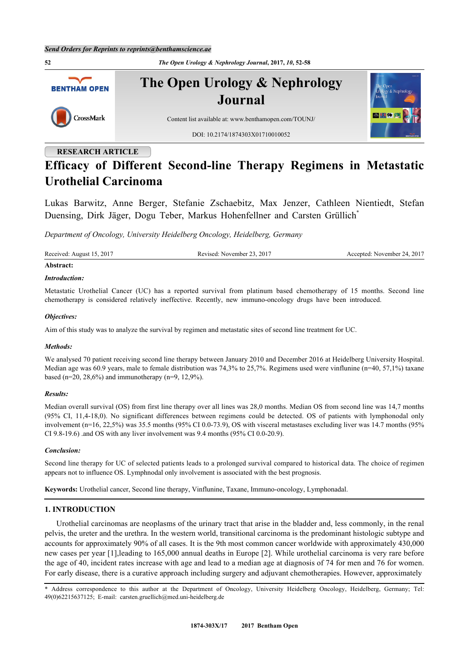**52** *The Open Urology & Nephrology Journal***, 2017,** *10***, 52-58 The Open Urology & Nephrology BENTHAM OPEN Journal** CrossMark Content list available at: [www.benthamopen.com/TOUNJ/](http://www.benthamopen.com/TOUNJ/) DOI: [10.2174/1874303X01710010052](http://dx.doi.org/10.2174/1874303X01710010052)

# **RESEARCH ARTICLE**

# **Efficacy of Different Second-line Therapy Regimens in Metastatic Urothelial Carcinoma**

Lukas Barwitz, Anne Berger, Stefanie Zschaebitz, Max Jenzer, Cathleen Nientiedt, Stefan Duensing, Dirk Jäger, Dogu Teber, Markus Hohenfellner and Carsten Grüllich<sup>[\\*](#page-0-0)</sup>

*Department of Oncology, University Heidelberg Oncology, Heidelberg, Germany*

Received: August 15, 2017 Revised: November 23, 2017 Accepted: November 24, 2017

# **Abstract:**

# *Introduction:*

Metastatic Urothelial Cancer (UC) has a reported survival from platinum based chemotherapy of 15 months. Second line chemotherapy is considered relatively ineffective. Recently, new immuno-oncology drugs have been introduced.

# *Objectives:*

Aim of this study was to analyze the survival by regimen and metastatic sites of second line treatment for UC.

# *Methods:*

We analysed 70 patient receiving second line therapy between January 2010 and December 2016 at Heidelberg University Hospital. Median age was 60.9 years, male to female distribution was 74,3% to 25,7%. Regimens used were vinflunine (n=40, 57,1%) taxane based (n=20, 28,6%) and immunotherapy (n=9, 12,9%).

# *Results:*

Median overall survival (OS) from first line therapy over all lines was 28,0 months. Median OS from second line was 14,7 months (95% CI, 11,4-18,0). No significant differences between regimens could be detected. OS of patients with lymphonodal only involvement (n=16, 22,5%) was 35.5 months (95% CI 0.0-73.9), OS with visceral metastases excluding liver was 14.7 months (95% CI 9.8-19.6) .and OS with any liver involvement was 9.4 months (95% CI 0.0-20.9).

# *Conclusion:*

Second line therapy for UC of selected patients leads to a prolonged survival compared to historical data. The choice of regimen appears not to influence OS. Lymphnodal only involvement is associated with the best prognosis.

**Keywords:** Urothelial cancer, Second line therapy, Vinflunine, Taxane, Immuno-oncology, Lymphonadal.

# **1. INTRODUCTION**

Urothelial carcinomas are neoplasms of the urinary tract that arise in the bladder and, less commonly, in the renal pelvis, the ureter and the urethra. In the western world, transitional carcinoma is the predominant histologic subtype and accounts for approximately 90% of all cases. It is the 9th most common cancer worldwide with approximately 430,000 new cases per year [[1](#page-5-0)],leading to 165,000 annual deaths in Europe [\[2](#page-5-1)]. While urothelial carcinoma is very rare before the age of 40, incident rates increase with age and lead to a median age at diagnosis of 74 for men and 76 for women. For early disease, there is a curative approach including surgery and adjuvant chemotherapies. However, approximately

<span id="page-0-0"></span>\* Address correspondence to this author at the Department of Oncology, University Heidelberg Oncology, Heidelberg, Germany; Tel: 49(0)62215637125; E-mail: [carsten.gruellich@med.uni-heidelberg.de](mailto:carsten.gruellich@med.uni-heidelberg.de)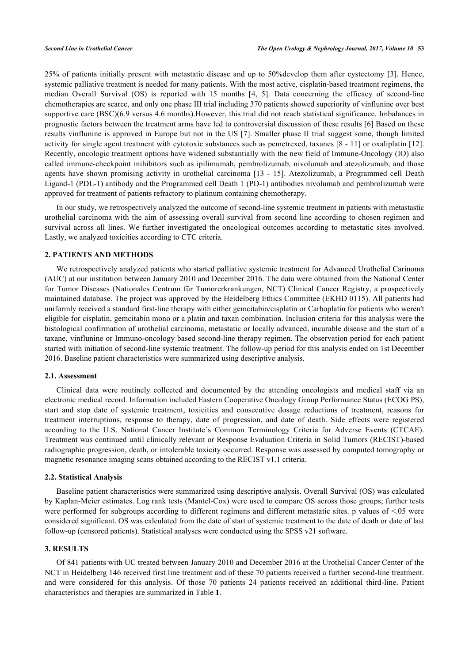25% of patients initially present with metastatic disease and up to 50%develop them after cystectomy [\[3](#page-5-2)]. Hence, systemic palliative treatment is needed for many patients. With the most active, cisplatin-based treatment regimens, the median Overall Survival (OS) is reported with 15 months [\[4](#page-5-3), [5](#page-6-0)]. Data concerning the efficacy of second-line chemotherapies are scarce, and only one phase III trial including 370 patients showed superiority of vinflunine over best supportive care (BSC)(6.9 versus 4.6 months). However, this trial did not reach statistical significance. Imbalances in prognostic factors between the treatment arms have led to controversial discussion of these results [[6\]](#page-6-1) Based on these results vinflunine is approved in Europe but not in the US [[7](#page-6-2)]. Smaller phase II trial suggest some, though limited activity for single agent treatment with cytotoxic substances such as pemetrexed, taxanes [\[8](#page-6-3) - [11\]](#page-6-4) or oxaliplatin [\[12\]](#page-6-5). Recently, oncologic treatment options have widened substantially with the new field of Immune-Oncology (IO) also called immune-checkpoint inihibitors such as ipilimumab, pembrolizumab, nivolumab and atezolizumab, and those agents have shown promising activity in urothelial carcinoma [\[13](#page-6-6) - [15\]](#page-6-7). Atezolizumab, a Programmed cell Death Ligand-1 (PDL-1) antibody and the Programmed cell Death 1 (PD-1) antibodies nivolumab and pembrolizumab were approved for treatment of patients refractory to platinum containing chemotherapy.

In our study, we retrospectively analyzed the outcome of second-line systemic treatment in patients with metastastic urothelial carcinoma with the aim of assessing overall survival from second line according to chosen regimen and survival across all lines. We further investigated the oncological outcomes according to metastatic sites involved. Lastly, we analyzed toxicities according to CTC criteria.

# **2. PATIENTS AND METHODS**

We retrospectively analyzed patients who started palliative systemic treatment for Advanced Urothelial Carinoma (AUC) at our institution between January 2010 and December 2016. The data were obtained from the National Center for Tumor Diseases (Nationales Centrum für Tumorerkrankungen, NCT) Clinical Cancer Registry, a prospectively maintained database. The project was approved by the Heidelberg Ethics Committee (EKHD 0115). All patients had uniformly received a standard first-line therapy with either gemcitabin/cisplatin or Carboplatin for patients who weren't eligible for cisplatin, gemcitabin mono or a platin and taxan combination. Inclusion criteria for this analysis were the histological confirmation of urothelial carcinoma, metastatic or locally advanced, incurable disease and the start of a taxane, vinflunine or Immuno-oncology based second-line therapy regimen. The observation period for each patient started with initiation of second-line systemic treatment. The follow-up period for this analysis ended on 1st December 2016. Baseline patient characteristics were summarized using descriptive analysis.

# **2.1. Assessment**

Clinical data were routinely collected and documented by the attending oncologists and medical staff via an electronic medical record. Information included Eastern Cooperative Oncology Group Performance Status (ECOG PS), start and stop date of systemic treatment, toxicities and consecutive dosage reductions of treatment, reasons for treatment interruptions, response to therapy, date of progression, and date of death. Side effects were registered according to the U.S. National Cancer Institute´s Common Terminology Criteria for Adverse Events (CTCAE). Treatment was continued until clinically relevant or Response Evaluation Criteria in Solid Tumors (RECIST)-based radiographic progression, death, or intolerable toxicity occurred. Response was assessed by computed tomography or magnetic resonance imaging scans obtained according to the RECIST v1.1 criteria.

### **2.2. Statistical Analysis**

Baseline patient characteristics were summarized using descriptive analysis. Overall Survival (OS) was calculated by Kaplan-Meier estimates. Log rank tests (Mantel-Cox) were used to compare OS across those groups; further tests were performed for subgroups according to different regimens and different metastatic sites. p values of <.05 were considered significant. OS was calculated from the date of start of systemic treatment to the date of death or date of last follow-up (censored patients). Statistical analyses were conducted using the SPSS v21 software.

# **3. RESULTS**

<span id="page-1-0"></span>Of 841 patients with UC treated between January 2010 and December 2016 at the Urothelial Cancer Center of the NCT in Heidelberg 146 received first line treatment and of these 70 patients received a further second-line treatment. and were considered for this analysis. Of those 70 patients 24 patients received an additional third-line. Patient characteristics and therapies are summarized in Table **[1](#page-1-0)**.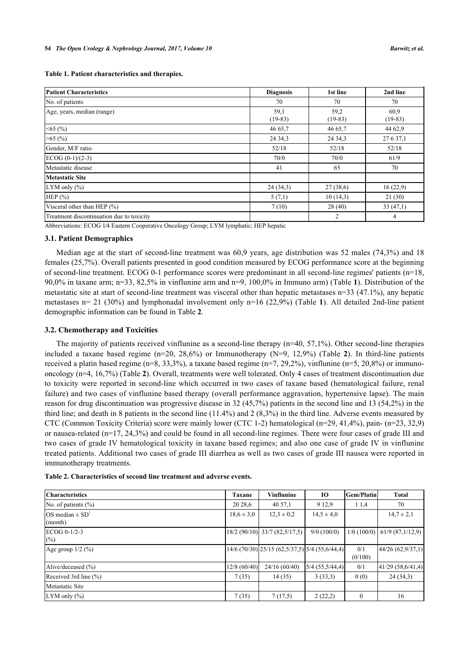**Table 1. Patient characteristics and therapies.**

| Patient Characteristics                   | <b>Diagnosis</b>  | 1st line          | 2nd line          |
|-------------------------------------------|-------------------|-------------------|-------------------|
| No. of patients                           | 70                | 70                | 70                |
| Age, years, median (range)                | 59,1<br>$(19-83)$ | 59,2<br>$(19-83)$ | 60.9<br>$(19-83)$ |
| $<$ 65 (%)                                | 46 65,7           | 46 65,7           | 44 62,9           |
| $>65$ (%)                                 | 24 34 3           | 24 34 3           | 27 6 37,1         |
| Gender, M/F ratio                         | 52/18             | 52/18             | 52/18             |
| $ECOG (0-1)/(2-3)$                        | 70/0              | 70/0              | 61/9              |
| Metastatic disease                        | 41                | 65                | 70                |
| <b>Metastatic Site</b>                    |                   |                   |                   |
| LYM only $(\% )$                          | 24(34,3)          | 27(38,6)          | 16(22,9)          |
| HEP $(% )$                                | 5(7,1)            | 10(14,3)          | 21(30)            |
| Visceral other than HEP $(\% )$           | 7(10)             | 28(40)            | 33(47,1)          |
| Treatment discontinuation due to toxicity |                   | 2                 | 4                 |

Abbreviations: ECOG 1⁄4 Eastern Cooperative Oncology Group; LYM lymphatic; HEP hepatic

# **3.1. Patient Demographics**

Median age at the start of second-line treatment was 60,9 years, age distribution was 52 males (74,3%) and 18 females (25,7%). Overall patients presented in good condition measured by ECOG performance score at the beginning of second-line treatment. ECOG 0-1 performance scores were predominant in all second-line regimes' patients (n=18, 90,0% in taxane arm; n=33, 82,5% in vinflunine arm and n=9, 100,0% in Immuno arm) (Table **[1](#page-1-0)**). Distribution of the metastatic site at start of second-line treatment was visceral other than hepatic metastases n=33 (47.1%), any hepatic metastases n= 21 (30%) and lymphonadal involvement only n=16 (22,9%) (Table **[1](#page-1-0)**). All detailed 2nd-line patient demographic information can be found in Table **[2](#page-2-0)**.

### **3.2. Chemotherapy and Toxicities**

The majority of patients received vinflunine as a second-line therapy (n=40, 57,1%). Other second-line therapies included a taxane based regime (n=20, 28,6%) or Immunotherapy (N=9, 12,9%) (Table**2**). In third-line patients received a platin based regime (n=8, 33,3%), a taxane based regime (n=7, 29,2%), vinflunine (n=5, 20,8%) or immunooncology (n=4, 16,7%) (Table **[2](#page-2-0)**). Overall, treatments were well tolerated. Only 4 cases of treatment discontinuation due to toxicity were reported in second-line which occurred in two cases of taxane based (hematological failure, renal failure) and two cases of vinflunine based therapy (overall performance aggravation, hypertensive lapse). The main reason for drug discontinuation was progressive disease in 32 (45,7%) patients in the second line and 13 (54,2%) in the third line; and death in 8 patients in the second line (11.4%) and 2 (8,3%) in the third line. Adverse events measured by CTC (Common Toxicity Criteria) score were mainly lower (CTC 1-2) hematological (n=29, 41,4%), pain- (n=23, 32,9) or nausea-related (n=17, 24,3%) and could be found in all second-line regimes. There were four cases of grade III and two cases of grade IV hematological toxicity in taxane based regimes; and also one case of grade IV in vinflunine treated patients. Additional two cases of grade III diarrhea as well as two cases of grade III nausea were reported in immunotherapy treatments.

| <b>Characteristics</b>            | <b>Taxane</b>  | <b>Vinflunine</b>                                                 | 10                | <b>Gem/Platin</b> | <b>Total</b>      |
|-----------------------------------|----------------|-------------------------------------------------------------------|-------------------|-------------------|-------------------|
| No. of patients $(\% )$           | 20 28,6        | 40 57,1                                                           | 9 1 2.9           | 11,4              | 70                |
| $OS$ median $\pm SD^1$<br>(month) | $18.6 \pm 3.0$ | $12.3 \pm 0.2$                                                    | $14.5 \pm 4.0$    |                   | $14,7 \pm 2,1$    |
| $ECOG 0-1/2-3$<br>(%)             |                | 18/2 (90/10) 33/7 (82,5/17,5)                                     | $9/0$ (100/0)     | $1/0$ (100/0)     | 61/9(87,1/12,9)   |
| Age group $1/2$ (%)               |                | $14/6$ (70/30) $\left  25/15 \right $ (62,5/37,5) 5/4 (55,6/44,4) |                   | 0/1<br>(0/100)    | 44/26 (62,9/37,1) |
| Alive/deceased (%)                | 12/8(60/40)    | 24/16(60/40)                                                      | $5/4$ (55,5/44,4) | 0/1               | 41/29 (58,6/41,4) |
| Received 3rd line $(\% )$         | 7(35)          | 14(35)                                                            | 3(33,3)           | 0(0)              | 24(34,3)          |
| Metastatic Site                   |                |                                                                   |                   |                   |                   |
| LYM only $(\% )$                  | 7(35)          | 7(17,5)                                                           | 2(22,2)           | $\Omega$          | 16                |

<span id="page-2-0"></span>**Table 2. Characteristics of second line treatment and adverse events.**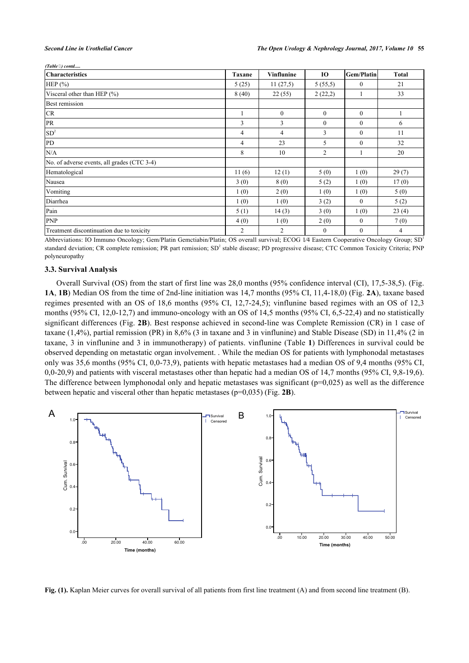*(Table ) contd.....*

| <b>Characteristics</b>                      | <b>Taxane</b> | <b>Vinflunine</b> | 10             | Gem/Platin   | <b>Total</b>   |
|---------------------------------------------|---------------|-------------------|----------------|--------------|----------------|
| HEP $(\% )$                                 | 5(25)         | 11(27,5)          | 5(55,5)        | $\mathbf{0}$ | 21             |
| Visceral other than HEP $(\% )$             | 8(40)         | 22(55)            | 2(22,2)        |              | 33             |
| <b>Best remission</b>                       |               |                   |                |              |                |
| CR                                          |               | $\theta$          | $\theta$       | $\Omega$     |                |
| PR                                          | 3             | 3                 | $\Omega$       | $\theta$     | 6              |
| SD <sup>2</sup>                             | 4             | $\overline{4}$    | 3              | $\Omega$     | 11             |
| PD                                          | 4             | 23                | 5              | $\mathbf{0}$ | 32             |
| N/A                                         | 8             | 10                | $\overline{c}$ |              | 20             |
| No. of adverse events, all grades (CTC 3-4) |               |                   |                |              |                |
| Hematological                               | 11(6)         | 12(1)             | 5(0)           | 1(0)         | 29(7)          |
| Nausea                                      | 3(0)          | 8(0)              | 5(2)           | 1(0)         | 17(0)          |
| Vomiting                                    | 1(0)          | 2(0)              | 1(0)           | 1(0)         | 5(0)           |
| Diarrhea                                    | 1(0)          | 1(0)              | 3(2)           | $\mathbf{0}$ | 5(2)           |
| Pain                                        | 5(1)          | 14(3)             | 3(0)           | 1(0)         | 23(4)          |
| <b>PNP</b>                                  | 4(0)          | 1(0)              | 2(0)           | $\mathbf{0}$ | 7(0)           |
| Treatment discontinuation due to toxicity   | 2             | $\overline{2}$    | $\mathbf{0}$   | $\mathbf{0}$ | $\overline{4}$ |

Abbreviations: IO Immuno Oncology; Gem/Platin Gemctiabin/Platin; OS overall survival; ECOG 1⁄4 Eastern Cooperative Oncology Group; SD<sup>1</sup> standard deviation; CR complete remission; PR part remission; SD<sup>2</sup> stable disease; PD progressive disease; CTC Common Toxicity Criteria; PNP polyneuropathy

### **3.3. Survival Analysis**

Overall Survival (OS) from the start of first line was 28,0 months (95% confidence interval (CI), 17,5-38,5). (Fig. **[1A](#page-3-0)**, **[1B](#page-3-0)**) Median OS from the time of 2nd-line initiation was 14,7 months (95% CI, 11,4-18,0) (Fig. **[2A](#page-3-1)**), taxane based regimes presented with an OS of 18,6 months (95% CI, 12,7-24,5); vinflunine based regimes with an OS of 12,3 months (95% CI, 12,0-12,7) and immuno-oncology with an OS of 14,5 months (95% CI, 6,5-22,4) and no statistically significant differences (Fig. **[2B](#page-3-1)**). Best response achieved in second-line was Complete Remission (CR) in 1 case of taxane (1,4%), partial remission (PR) in 8,6% (3 in taxane and 3 in vinflunine) and Stable Disease (SD) in 11,4% (2 in taxane, 3 in vinflunine and 3 in immunotherapy) of patients. vinflunine (Table **[1](#page-1-0)**) Differences in survival could be observed depending on metastatic organ involvement. . While the median OS for patients with lymphonodal metastases only was 35,6 months (95% CI, 0,0-73,9), patients with hepatic metastases had a median OS of 9,4 months (95% CI, 0,0-20,9) and patients with visceral metastases other than hepatic had a median OS of 14,7 months (95% CI, 9,8-19,6). The difference between lymphonodal only and hepatic metastases was significant ( $p=0.025$ ) as well as the difference between hepatic and visceral other than hepatic metastases (p=0,035) (Fig. **[2B](#page-3-1)**).

<span id="page-3-0"></span>

<span id="page-3-1"></span>**Fig. (1).** Kaplan Meier curves for overall survival of all patients from first line treatment (A) and from second line treatment (B).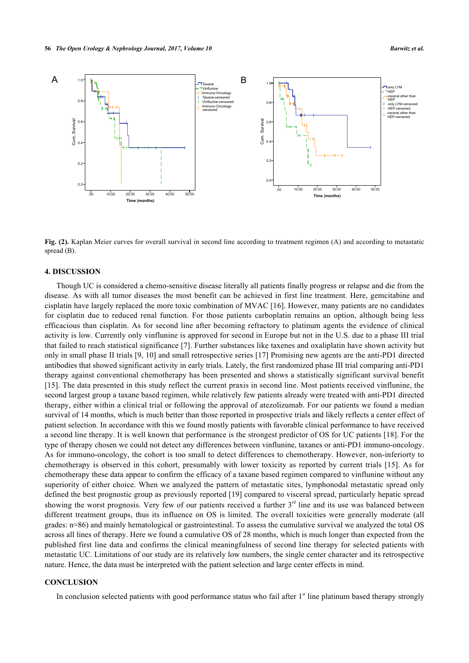

**Fig. (2).** Kaplan Meier curves for overall survival in second line according to treatment regimen (A) and according to metastatic spread (B).

# **4. DISCUSSION**

Though UC is considered a chemo-sensitive disease literally all patients finally progress or relapse and die from the disease. As with all tumor diseases the most benefit can be achieved in first line treatment. Here, gemcitabine and cisplatin have largely replaced the more toxic combination of MVAC [[16\]](#page-6-8). However, many patients are no candidates for cisplatin due to reduced renal function. For those patients carboplatin remains an option, although being less efficacious than cisplatin. As for second line after becoming refractory to platinum agents the evidence of clinical activity is low. Currently only vinflunine is approved for second in Europe but not in the U.S. due to a phase III trial that failed to reach statistical significance [[7](#page-6-2)]. Further substances like taxenes and oxaliplatin have shown activity but only in small phase II trials [[9,](#page-6-9) [10\]](#page-6-10) and small retrospective series [[17\]](#page-6-11) Promising new agents are the anti-PD1 directed antibodies that showed significant activity in early trials. Lately, the first randomized phase III trial comparing anti-PD1 therapy against conventional chemotherapy has been presented and shows a statistically significant survival benefit [\[15](#page-6-7)]. The data presented in this study reflect the current praxis in second line. Most patients received vinflunine, the second largest group a taxane based regimen, while relatively few patients already were treated with anti-PD1 directed therapy, either within a clinical trial or following the approval of atezolizumab. For our patients we found a median survival of 14 months, which is much better than those reported in prospective trials and likely reflects a center effect of patient selection. In accordance with this we found mostly patients with favorable clinical performance to have received a second line therapy. It is well known that performance is the strongest predictor of OS for UC patients [\[18\]](#page-6-12). For the type of therapy chosen we could not detect any differences between vinflunine, taxanes or anti-PD1 immuno-oncology. As for immuno-oncology, the cohort is too small to detect differences to chemotherapy. However, non-inferiorty to chemotherapy is observed in this cohort, presumably with lower toxicity as reported by current trials [[15\]](#page-6-7). As for chemotherapy these data appear to confirm the efficacy of a taxane based regimen compared to vinflunine without any superiority of either choice. When we analyzed the pattern of metastatic sites, lymphonodal metastatic spread only defined the best prognostic group as previously reported [[19\]](#page-6-13) compared to visceral spread, particularly hepatic spread showing the worst prognosis. Very few of our patients received a further  $3<sup>rd</sup>$  line and its use was balanced between different treatment groups, thus its influence on OS is limited. The overall toxicities were generally moderate (all grades: n=86) and mainly hematological or gastrointestinal. To assess the cumulative survival we analyzed the total OS across all lines of therapy. Here we found a cumulative OS of 28 months, which is much longer than expected from the published first line data and confirms the clinical meaningfulness of second line therapy for selected patients with metastatic UC. Limitations of our study are its relatively low numbers, the single center character and its retrospective nature. Hence, the data must be interpreted with the patient selection and large center effects in mind.

# **CONCLUSION**

In conclusion selected patients with good performance status who fail after  $1<sup>st</sup>$  line platinum based therapy strongly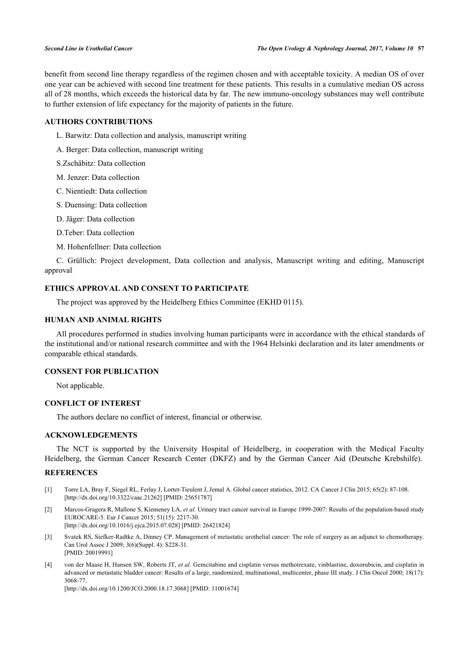benefit from second line therapy regardless of the regimen chosen and with acceptable toxicity. A median OS of over one year can be achieved with second line treatment for these patients. This results in a cumulative median OS across all of 28 months, which exceeds the historical data by far. The new immuno-oncology substances may well contribute to further extension of life expectancy for the majority of patients in the future.

# **AUTHORS CONTRIBUTIONS**

- L. Barwitz: Data collection and analysis, manuscript writing
- A. Berger: Data collection, manuscript writing
- S.Zschäbitz: Data collection
- M. Jenzer: Data collection
- C. Nientiedt: Data collection
- S. Duensing: Data collection
- D. Jäger: Data collection
- D.Teber: Data collection
- M. Hohenfellner: Data collection

C. Grüllich: Project development, Data collection and analysis, Manuscript writing and editing, Manuscript approval

# **ETHICS APPROVAL AND CONSENT TO PARTICIPATE**

The project was approved by the Heidelberg Ethics Committee (EKHD 0115).

### **HUMAN AND ANIMAL RIGHTS**

All procedures performed in studies involving human participants were in accordance with the ethical standards of the institutional and/or national research committee and with the 1964 Helsinki declaration and its later amendments or comparable ethical standards.

# **CONSENT FOR PUBLICATION**

Not applicable.

# **CONFLICT OF INTEREST**

The authors declare no conflict of interest, financial or otherwise.

# **ACKNOWLEDGEMENTS**

The NCT is supported by the University Hospital of Heidelberg, in cooperation with the Medical Faculty Heidelberg, the German Cancer Research Center (DKFZ) and by the German Cancer Aid (Deutsche Krebshilfe).

# **REFERENCES**

- <span id="page-5-0"></span>[1] Torre LA, Bray F, Siegel RL, Ferlay J, Lortet-Tieulent J, Jemal A. Global cancer statistics, 2012. CA Cancer J Clin 2015; 65(2): 87-108. [\[http://dx.doi.org/10.3322/caac.21262](http://dx.doi.org/10.3322/caac.21262)] [PMID: [25651787\]](http://www.ncbi.nlm.nih.gov/pubmed/25651787)
- <span id="page-5-1"></span>[2] Marcos-Gragera R, Mallone S, Kiemeney LA, *et al.* Urinary tract cancer survival in Europe 1999-2007: Results of the population-based study EUROCARE-5. Eur J Cancer 2015; 51(15): 2217-30. [\[http://dx.doi.org/10.1016/j.ejca.2015.07.028\]](http://dx.doi.org/10.1016/j.ejca.2015.07.028) [PMID: [26421824](http://www.ncbi.nlm.nih.gov/pubmed/26421824)]
- <span id="page-5-2"></span>[3] Svatek RS, Siefker-Radtke A, Dinney CP. Management of metastatic urothelial cancer: The role of surgery as an adjunct to chemotherapy. Can Urol Assoc J 2009; 3(6)(Suppl. 4): S228-31. [PMID: [20019991\]](http://www.ncbi.nlm.nih.gov/pubmed/20019991)
- <span id="page-5-3"></span>[4] von der Maase H, Hansen SW, Roberts JT, *et al.* Gemcitabine and cisplatin versus methotrexate, vinblastine, doxorubicin, and cisplatin in advanced or metastatic bladder cancer: Results of a large, randomized, multinational, multicenter, phase III study. J Clin Oncol 2000; 18(17): 3068-77.

[\[http://dx.doi.org/10.1200/JCO.2000.18.17.3068](http://dx.doi.org/10.1200/JCO.2000.18.17.3068)] [PMID: [11001674\]](http://www.ncbi.nlm.nih.gov/pubmed/11001674)